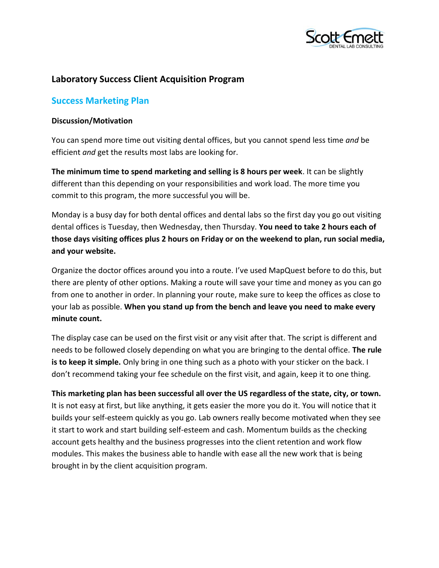

# **Laboratory Success Client Acquisition Program**

## **Success Marketing Plan**

#### **Discussion/Motivation**

You can spend more time out visiting dental offices, but you cannot spend less time *and* be efficient *and* get the results most labs are looking for.

**The minimum time to spend marketing and selling is 8 hours per week**. It can be slightly different than this depending on your responsibilities and work load. The more time you commit to this program, the more successful you will be.

Monday is a busy day for both dental offices and dental labs so the first day you go out visiting dental offices is Tuesday, then Wednesday, then Thursday. **You need to take 2 hours each of those days visiting offices plus 2 hours on Friday or on the weekend to plan, run social media, and your website.**

Organize the doctor offices around you into a route. I've used MapQuest before to do this, but there are plenty of other options. Making a route will save your time and money as you can go from one to another in order. In planning your route, make sure to keep the offices as close to your lab as possible. **When you stand up from the bench and leave you need to make every minute count.**

The display case can be used on the first visit or any visit after that. The script is different and needs to be followed closely depending on what you are bringing to the dental office. **The rule is to keep it simple.** Only bring in one thing such as a photo with your sticker on the back. I don't recommend taking your fee schedule on the first visit, and again, keep it to one thing.

**This marketing plan has been successful all over the US regardless of the state, city, or town.** It is not easy at first, but like anything, it gets easier the more you do it. You will notice that it builds your self-esteem quickly as you go. Lab owners really become motivated when they see it start to work and start building self-esteem and cash. Momentum builds as the checking account gets healthy and the business progresses into the client retention and work flow modules. This makes the business able to handle with ease all the new work that is being brought in by the client acquisition program.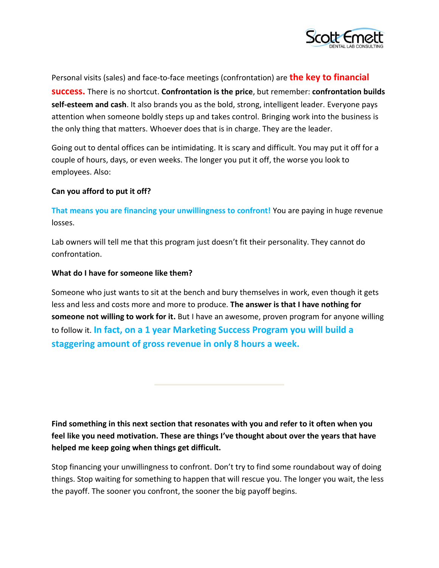

Personal visits (sales) and face-to-face meetings (confrontation) are **the key to financial success.** There is no shortcut. **Confrontation is the price**, but remember: **confrontation builds self-esteem and cash**. It also brands you as the bold, strong, intelligent leader. Everyone pays attention when someone boldly steps up and takes control. Bringing work into the business is the only thing that matters. Whoever does that is in charge. They are the leader.

Going out to dental offices can be intimidating. It is scary and difficult. You may put it off for a couple of hours, days, or even weeks. The longer you put it off, the worse you look to employees. Also:

### **Can you afford to put it off?**

**That means you are financing your unwillingness to confront!** You are paying in huge revenue losses.

Lab owners will tell me that this program just doesn't fit their personality. They cannot do confrontation.

### **What do I have for someone like them?**

Someone who just wants to sit at the bench and bury themselves in work, even though it gets less and less and costs more and more to produce. **The answer is that I have nothing for someone not willing to work for it.** But I have an awesome, proven program for anyone willing to follow it. **In fact, on a 1 year Marketing Success Program you will build a staggering amount of gross revenue in only 8 hours a week.** 

**Find something in this next section that resonates with you and refer to it often when you feel like you need motivation. These are things I've thought about over the years that have helped me keep going when things get difficult.**

Stop financing your unwillingness to confront. Don't try to find some roundabout way of doing things. Stop waiting for something to happen that will rescue you. The longer you wait, the less the payoff. The sooner you confront, the sooner the big payoff begins.